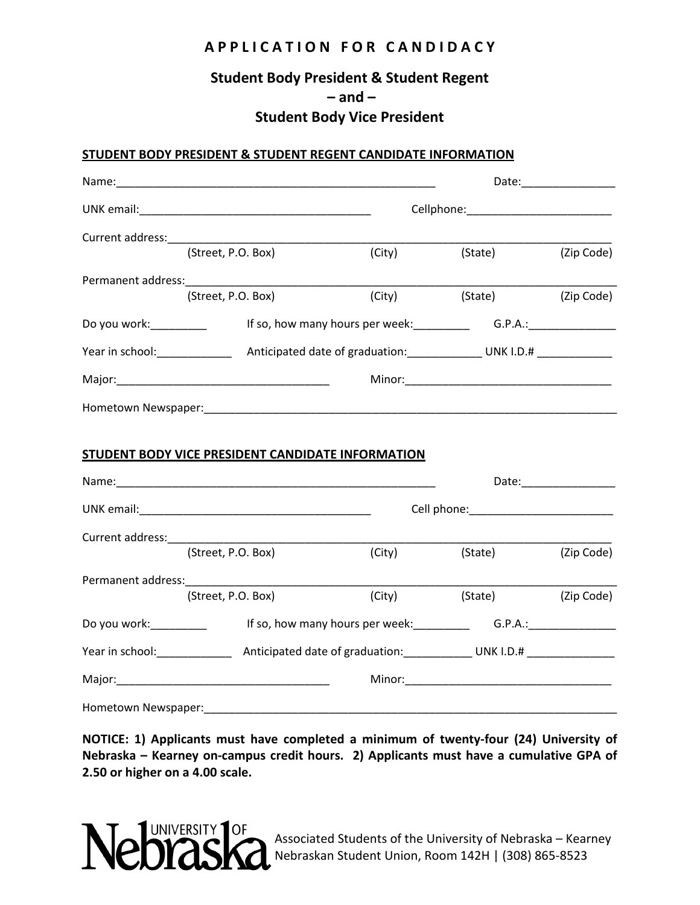## **A P P L I C A T I O N F O R C A N D I D A C Y**

## **Student Body President & Student Regent – and –**

### **Student Body Vice President**

#### **STUDENT BODY PRESIDENT & STUDENT REGENT CANDIDATE INFORMATION**

| Current address:       |                                                                                                                                                                                                                                |                                                 |         |            |
|------------------------|--------------------------------------------------------------------------------------------------------------------------------------------------------------------------------------------------------------------------------|-------------------------------------------------|---------|------------|
|                        | (Street, P.O. Box)                                                                                                                                                                                                             | (City)                                          | (State) | (Zip Code) |
|                        | Permanent address: North and Contact the Contact of the Contact of the Contact of the Contact of the Contact of the Contact of the Contact of the Contact of the Contact of the Contact of the Contact of the Contact of the C |                                                 |         |            |
|                        | (Street, P.O. Box)                                                                                                                                                                                                             | (City)                                          | (State) | (Zip Code) |
| Do you work:__________ |                                                                                                                                                                                                                                | If so, how many hours per week: G.P.A.: G.P.A.: |         |            |
|                        |                                                                                                                                                                                                                                |                                                 |         |            |
|                        |                                                                                                                                                                                                                                |                                                 |         |            |
|                        |                                                                                                                                                                                                                                |                                                 |         |            |
|                        | <b>STUDENT BODY VICE PRESIDENT CANDIDATE INFORMATION</b>                                                                                                                                                                       |                                                 |         |            |
|                        |                                                                                                                                                                                                                                |                                                 |         |            |
|                        |                                                                                                                                                                                                                                |                                                 |         |            |
|                        | (Street, P.O. Box)                                                                                                                                                                                                             | (City)                                          | (State) | (Zip Code) |
|                        |                                                                                                                                                                                                                                |                                                 |         |            |
|                        | (Street, P.O. Box)                                                                                                                                                                                                             | (City)                                          | (State) | (Zip Code) |
| Do you work:_________  | If so, how many hours per week: G.P.A.: C.P.A.: C.C.                                                                                                                                                                           |                                                 |         |            |
|                        |                                                                                                                                                                                                                                |                                                 |         |            |
|                        |                                                                                                                                                                                                                                |                                                 |         |            |
| Hometown Newspaper:    |                                                                                                                                                                                                                                |                                                 |         |            |

**NOTICE: 1) Applicants must have completed a minimum of twenty-four (24) University of Nebraska – Kearney on-campus credit hours. 2) Applicants must have a cumulative GPA of 2.50 or higher on a 4.00 scale.**



Associated Students of the University of Nebraska – Kearney Nebraskan Student Union, Room 142H | (308) 865-8523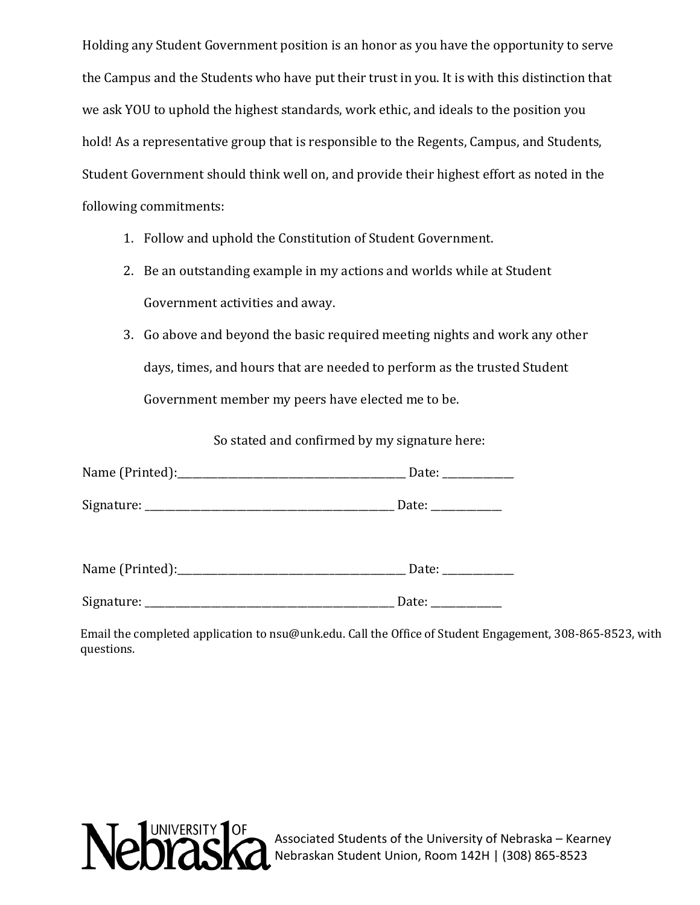Holding any Student Government position is an honor as you have the opportunity to serve the Campus and the Students who have put their trust in you. It is with this distinction that we ask YOU to uphold the highest standards, work ethic, and ideals to the position you hold! As a representative group that is responsible to the Regents, Campus, and Students, Student Government should think well on, and provide their highest effort as noted in the following commitments:

- 1. Follow and uphold the Constitution of Student Government.
- 2. Be an outstanding example in my actions and worlds while at Student Government activities and away.
- 3. Go above and beyond the basic required meeting nights and work any other days, times, and hours that are needed to perform as the trusted Student Government member my peers have elected me to be.

So stated and confirmed by my signature here:

| Name (Printed): | Date: |  |
|-----------------|-------|--|
|                 |       |  |
| Signature:      | Date: |  |

| Name (Printed): |  |
|-----------------|--|
|-----------------|--|

Signature: \_\_\_\_\_\_\_\_\_\_\_\_\_\_\_\_\_\_\_\_\_\_\_\_\_\_\_\_\_\_\_\_\_\_\_\_\_\_\_\_\_\_\_\_\_\_\_\_\_ Date: \_\_\_\_\_\_\_\_\_\_\_\_\_\_

Email the completed application to nsu@unk.edu. Call the Office of Student Engagement, 308-865-8523, with questions.



Associated Students of the University of Nebraska – Kearney Nebraskan Student Union, Room 142H | (308) 865-8523